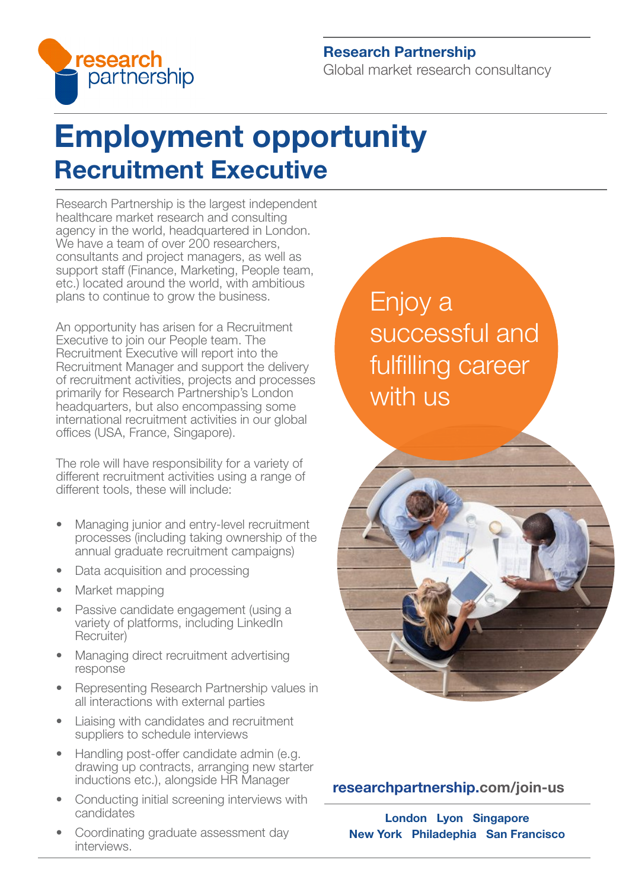

### Research Partnership

Global market research consultancy

# Employment opportunity Recruitment Executive

Research Partnership is the largest independent healthcare market research and consulting agency in the world, headquartered in London. We have a team of over 200 researchers, consultants and project managers, as well as support staff (Finance, Marketing, People team, etc.) located around the world, with ambitious plans to continue to grow the business.

An opportunity has arisen for a Recruitment Executive to join our People team. The Recruitment Executive will report into the Recruitment Manager and support the delivery of recruitment activities, projects and processes primarily for Research Partnership's London headquarters, but also encompassing some international recruitment activities in our global offices (USA, France, Singapore).

The role will have responsibility for a variety of different recruitment activities using a range of different tools, these will include:

- Managing junior and entry-level recruitment processes (including taking ownership of the annual graduate recruitment campaigns)
- Data acquisition and processing
- Market mapping
- Passive candidate engagement (using a variety of platforms, including LinkedIn Recruiter)
- Managing direct recruitment advertising response
- Representing Research Partnership values in all interactions with external parties
- Liaising with candidates and recruitment suppliers to schedule interviews
- Handling post-offer candidate admin (e.g. drawing up contracts, arranging new starter inductions etc.), alongside HR Manager
- Conducting initial screening interviews with candidates
- Coordinating graduate assessment day interviews.

Enjoy a successful and fulfilling career with us



## [researchpartnership.com/join-us](https://www.researchpartnership.com/join-us)

London Lyon Singapore New York Philadephia San Francisco